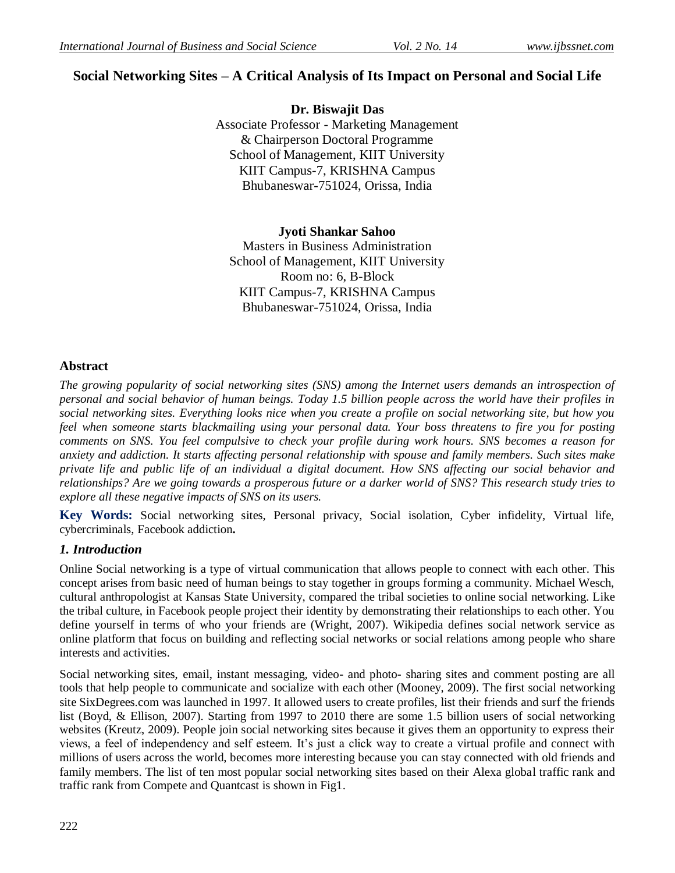# **Social Networking Sites – A Critical Analysis of Its Impact on Personal and Social Life**

**Dr. Biswajit Das** Associate Professor - Marketing Management & Chairperson Doctoral Programme School of Management, KIIT University KIIT Campus-7, KRISHNA Campus Bhubaneswar-751024, Orissa, India

### **Jyoti Shankar Sahoo**

Masters in Business Administration School of Management, KIIT University Room no: 6, B-Block KIIT Campus-7, KRISHNA Campus Bhubaneswar-751024, Orissa, India

## **Abstract**

*The growing popularity of social networking sites (SNS) among the Internet users demands an introspection of personal and social behavior of human beings. Today 1.5 billion people across the world have their profiles in social networking sites. Everything looks nice when you create a profile on social networking site, but how you feel when someone starts blackmailing using your personal data. Your boss threatens to fire you for posting comments on SNS. You feel compulsive to check your profile during work hours. SNS becomes a reason for anxiety and addiction. It starts affecting personal relationship with spouse and family members. Such sites make private life and public life of an individual a digital document. How SNS affecting our social behavior and relationships? Are we going towards a prosperous future or a darker world of SNS? This research study tries to explore all these negative impacts of SNS on its users.*

**Key Words:** Social networking sites, Personal privacy, Social isolation, Cyber infidelity, Virtual life, cybercriminals, Facebook addiction**.** 

## *1. Introduction*

Online Social networking is a type of virtual communication that allows people to connect with each other. This concept arises from basic need of human beings to stay together in groups forming a community. Michael Wesch, cultural anthropologist at Kansas State University, compared the tribal societies to online social networking. Like the tribal culture, in Facebook people project their identity by demonstrating their relationships to each other. You define yourself in terms of who your friends are (Wright, 2007). Wikipedia defines social network service as online platform that focus on building and reflecting social networks or social relations among people who share interests and activities.

Social networking sites, email, instant messaging, video- and photo- sharing sites and comment posting are all tools that help people to communicate and socialize with each other (Mooney, 2009). The first social networking site SixDegrees.com was launched in 1997. It allowed users to create profiles, list their friends and surf the friends list (Boyd, & Ellison, 2007). Starting from 1997 to 2010 there are some 1.5 billion users of social networking websites (Kreutz, 2009). People join social networking sites because it gives them an opportunity to express their views, a feel of independency and self esteem. It"s just a click way to create a virtual profile and connect with millions of users across the world, becomes more interesting because you can stay connected with old friends and family members. The list of ten most popular social networking sites based on their Alexa global traffic rank and traffic rank from Compete and Quantcast is shown in Fig1.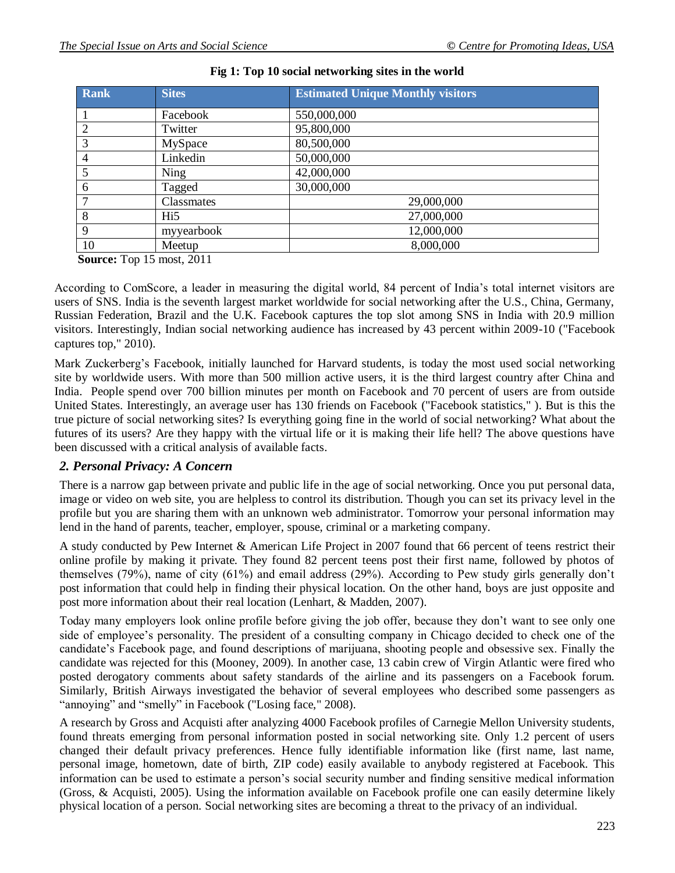| <b>Rank</b> | <b>Sites</b>    | <b>Estimated Unique Monthly visitors</b> |  |  |  |  |
|-------------|-----------------|------------------------------------------|--|--|--|--|
|             | Facebook        | 550,000,000                              |  |  |  |  |
| 2           | Twitter         | 95,800,000                               |  |  |  |  |
| 3           | MySpace         | 80,500,000                               |  |  |  |  |
|             | Linkedin        | 50,000,000                               |  |  |  |  |
|             | <b>Ning</b>     | 42,000,000                               |  |  |  |  |
| 6           | Tagged          | 30,000,000                               |  |  |  |  |
|             | Classmates      | 29,000,000                               |  |  |  |  |
| 8           | Hi <sub>5</sub> | 27,000,000                               |  |  |  |  |
| 9           | myyearbook      | 12,000,000                               |  |  |  |  |
| 10          | Meetup          | 8,000,000                                |  |  |  |  |

|  |  | Fig 1: Top 10 social networking sites in the world |  |  |  |
|--|--|----------------------------------------------------|--|--|--|
|  |  |                                                    |  |  |  |

**Source:** Top 15 most, 2011

According to ComScore, a leader in measuring the digital world, 84 percent of India"s total internet visitors are users of SNS. India is the seventh largest market worldwide for social networking after the U.S., China, Germany, Russian Federation, Brazil and the U.K. Facebook captures the top slot among SNS in India with 20.9 million visitors. Interestingly, Indian social networking audience has increased by 43 percent within 2009-10 ("Facebook captures top," 2010).

Mark Zuckerberg"s Facebook, initially launched for Harvard students, is today the most used social networking site by worldwide users. With more than 500 million active users, it is the third largest country after China and India. People spend over 700 billion minutes per month on Facebook and 70 percent of users are from outside United States. Interestingly, an average user has 130 friends on Facebook ("Facebook statistics," ). But is this the true picture of social networking sites? Is everything going fine in the world of social networking? What about the futures of its users? Are they happy with the virtual life or it is making their life hell? The above questions have been discussed with a critical analysis of available facts.

## *2. Personal Privacy: A Concern*

There is a narrow gap between private and public life in the age of social networking. Once you put personal data, image or video on web site, you are helpless to control its distribution. Though you can set its privacy level in the profile but you are sharing them with an unknown web administrator. Tomorrow your personal information may lend in the hand of parents, teacher, employer, spouse, criminal or a marketing company.

A study conducted by Pew Internet & American Life Project in 2007 found that 66 percent of teens restrict their online profile by making it private. They found 82 percent teens post their first name, followed by photos of themselves (79%), name of city (61%) and email address (29%). According to Pew study girls generally don"t post information that could help in finding their physical location. On the other hand, boys are just opposite and post more information about their real location (Lenhart, & Madden, 2007).

Today many employers look online profile before giving the job offer, because they don"t want to see only one side of employee's personality. The president of a consulting company in Chicago decided to check one of the candidate"s Facebook page, and found descriptions of marijuana, shooting people and obsessive sex. Finally the candidate was rejected for this (Mooney, 2009). In another case, 13 cabin crew of Virgin Atlantic were fired who posted derogatory comments about safety standards of the airline and its passengers on a Facebook forum. Similarly, British Airways investigated the behavior of several employees who described some passengers as "annoying" and "smelly" in Facebook ("Losing face," 2008).

A research by Gross and Acquisti after analyzing 4000 Facebook profiles of Carnegie Mellon University students, found threats emerging from personal information posted in social networking site. Only 1.2 percent of users changed their default privacy preferences. Hence fully identifiable information like (first name, last name, personal image, hometown, date of birth, ZIP code) easily available to anybody registered at Facebook. This information can be used to estimate a person"s social security number and finding sensitive medical information (Gross, & Acquisti, 2005). Using the information available on Facebook profile one can easily determine likely physical location of a person. Social networking sites are becoming a threat to the privacy of an individual.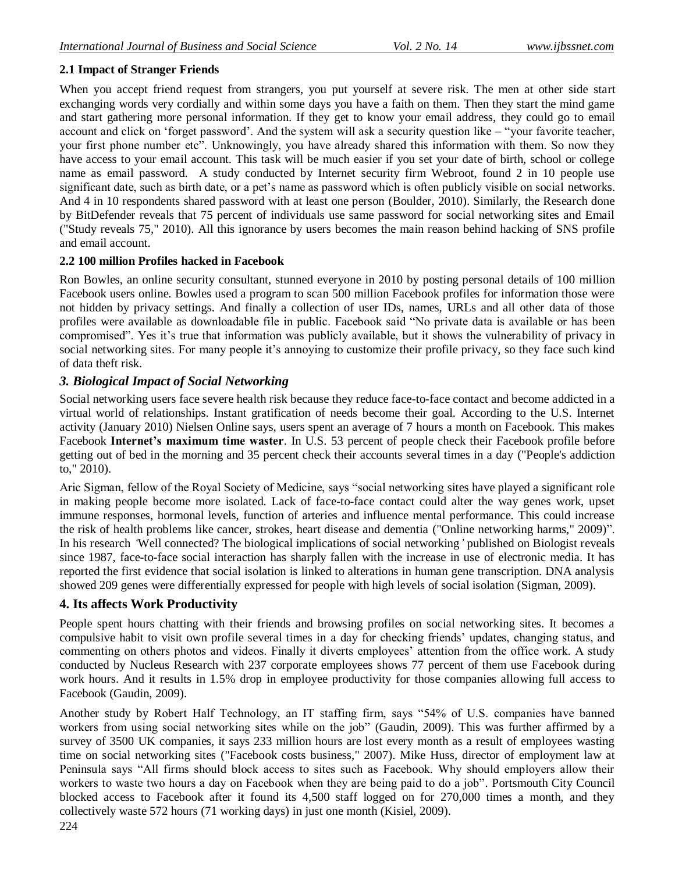## **2.1 Impact of Stranger Friends**

When you accept friend request from strangers, you put yourself at severe risk. The men at other side start exchanging words very cordially and within some days you have a faith on them. Then they start the mind game and start gathering more personal information. If they get to know your email address, they could go to email account and click on "forget password". And the system will ask a security question like – "your favorite teacher, your first phone number etc". Unknowingly, you have already shared this information with them. So now they have access to your email account. This task will be much easier if you set your date of birth, school or college name as email password. A study conducted by Internet security firm Webroot, found 2 in 10 people use significant date, such as birth date, or a pet's name as password which is often publicly visible on social networks. And 4 in 10 respondents shared password with at least one person (Boulder, 2010). Similarly, the Research done by BitDefender reveals that 75 percent of individuals use same password for social networking sites and Email ("Study reveals 75," 2010). All this ignorance by users becomes the main reason behind hacking of SNS profile and email account.

## **2.2 100 million Profiles hacked in Facebook**

Ron Bowles, an online security consultant, stunned everyone in 2010 by posting personal details of 100 million Facebook users online. Bowles used a program to scan 500 million Facebook profiles for information those were not hidden by privacy settings. And finally a collection of user IDs, names, URLs and all other data of those profiles were available as downloadable file in public. Facebook said "No private data is available or has been compromised". Yes it's true that information was publicly available, but it shows the vulnerability of privacy in social networking sites. For many people it's annoying to customize their profile privacy, so they face such kind of data theft risk.

## *3. Biological Impact of Social Networking*

Social networking users face severe health risk because they reduce face-to-face contact and become addicted in a virtual world of relationships. Instant gratification of needs become their goal. According to the U.S. Internet activity (January 2010) Nielsen Online says, users spent an average of 7 hours a month on Facebook. This makes Facebook **Internet's maximum time waster**. In U.S. 53 percent of people check their Facebook profile before getting out of bed in the morning and 35 percent check their accounts several times in a day ("People's addiction to," 2010).

Aric Sigman, fellow of the Royal Society of Medicine, says "social networking sites have played a significant role in making people become more isolated. Lack of face-to-face contact could alter the way genes work, upset immune responses, hormonal levels, function of arteries and influence mental performance. This could increase the risk of health problems like cancer, strokes, heart disease and dementia ("Online networking harms," 2009)". In his research *'*Well connected? The biological implications of social networking*'* published on Biologist reveals since 1987, face-to-face social interaction has sharply fallen with the increase in use of electronic media. It has reported the first evidence that social isolation is linked to alterations in human gene transcription. DNA analysis showed 209 genes were differentially expressed for people with high levels of social isolation (Sigman, 2009).

## **4. Its affects Work Productivity**

People spent hours chatting with their friends and browsing profiles on social networking sites. It becomes a compulsive habit to visit own profile several times in a day for checking friends" updates, changing status, and commenting on others photos and videos. Finally it diverts employees' attention from the office work. A study conducted by Nucleus Research with 237 corporate employees shows 77 percent of them use Facebook during work hours. And it results in 1.5% drop in employee productivity for those companies allowing full access to Facebook (Gaudin, 2009).

Another study by Robert Half Technology, an IT staffing firm, says "54% of U.S. companies have banned workers from using social networking sites while on the job" (Gaudin, 2009). This was further affirmed by a survey of 3500 UK companies, it says 233 million hours are lost every month as a result of employees wasting time on social networking sites ("Facebook costs business," 2007). Mike Huss, director of employment law at Peninsula says "All firms should block access to sites such as Facebook. Why should employers allow their workers to waste two hours a day on Facebook when they are being paid to do a job". Portsmouth City Council blocked access to Facebook after it found its 4,500 staff logged on for 270,000 times a month, and they collectively waste 572 hours (71 working days) in just one month (Kisiel, 2009).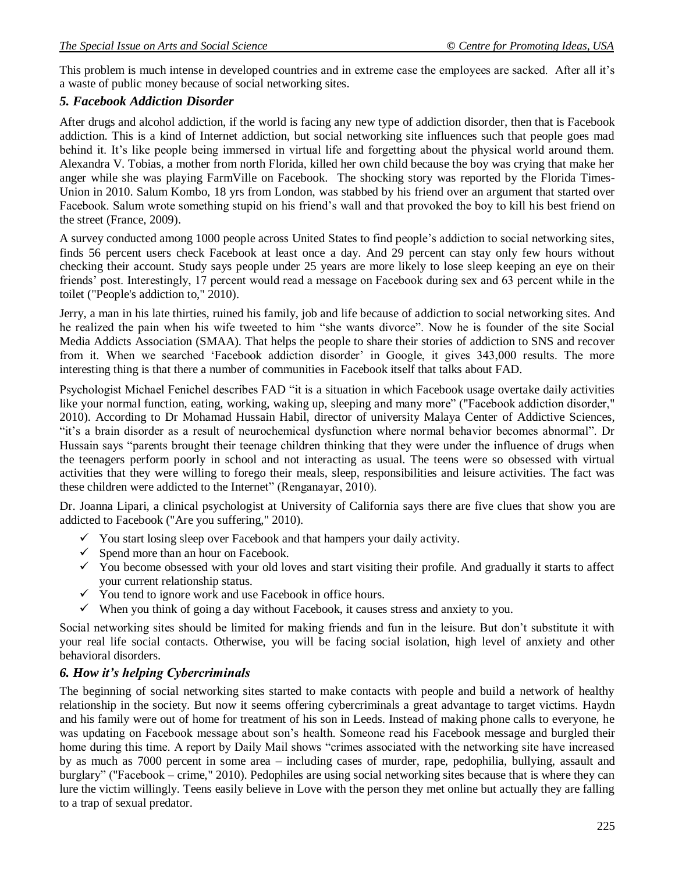This problem is much intense in developed countries and in extreme case the employees are sacked. After all it's a waste of public money because of social networking sites.

## *5. Facebook Addiction Disorder*

After drugs and alcohol addiction, if the world is facing any new type of addiction disorder, then that is Facebook addiction. This is a kind of Internet addiction, but social networking site influences such that people goes mad behind it. It's like people being immersed in virtual life and forgetting about the physical world around them. Alexandra V. Tobias, a mother from north Florida, killed her own child because the boy was crying that make her anger while she was playing FarmVille on Facebook. The shocking story was reported by the Florida Times-Union in 2010. Salum Kombo, 18 yrs from London, was stabbed by his friend over an argument that started over Facebook. Salum wrote something stupid on his friend"s wall and that provoked the boy to kill his best friend on the street (France, 2009).

A survey conducted among 1000 people across United States to find people"s addiction to social networking sites, finds 56 percent users check Facebook at least once a day. And 29 percent can stay only few hours without checking their account. Study says people under 25 years are more likely to lose sleep keeping an eye on their friends" post. Interestingly, 17 percent would read a message on Facebook during sex and 63 percent while in the toilet ("People's addiction to," 2010).

Jerry, a man in his late thirties, ruined his family, job and life because of addiction to social networking sites. And he realized the pain when his wife tweeted to him "she wants divorce". Now he is founder of the site Social Media Addicts Association (SMAA). That helps the people to share their stories of addiction to SNS and recover from it. When we searched 'Facebook addiction disorder' in Google, it gives 343,000 results. The more interesting thing is that there a number of communities in Facebook itself that talks about FAD.

Psychologist Michael Fenichel describes FAD "it is a situation in which Facebook usage overtake daily activities like your normal function, eating, working, waking up, sleeping and many more" ("Facebook addiction disorder," 2010). According to Dr Mohamad Hussain Habil, director of university Malaya Center of Addictive Sciences, "it"s a brain disorder as a result of neurochemical dysfunction where normal behavior becomes abnormal". Dr Hussain says "parents brought their teenage children thinking that they were under the influence of drugs when the teenagers perform poorly in school and not interacting as usual. The teens were so obsessed with virtual activities that they were willing to forego their meals, sleep, responsibilities and leisure activities. The fact was these children were addicted to the Internet" (Renganayar, 2010).

Dr. Joanna Lipari, a clinical psychologist at University of California says there are five clues that show you are addicted to Facebook ("Are you suffering," 2010).

- $\checkmark$  You start losing sleep over Facebook and that hampers your daily activity.
- $\checkmark$  Spend more than an hour on Facebook.
- $\checkmark$  You become obsessed with your old loves and start visiting their profile. And gradually it starts to affect your current relationship status.
- $\checkmark$  You tend to ignore work and use Facebook in office hours.
- $\checkmark$  When you think of going a day without Facebook, it causes stress and anxiety to you.

Social networking sites should be limited for making friends and fun in the leisure. But don"t substitute it with your real life social contacts. Otherwise, you will be facing social isolation, high level of anxiety and other behavioral disorders.

## *6. How it's helping Cybercriminals*

The beginning of social networking sites started to make contacts with people and build a network of healthy relationship in the society. But now it seems offering cybercriminals a great advantage to target victims. Haydn and his family were out of home for treatment of his son in Leeds. Instead of making phone calls to everyone, he was updating on Facebook message about son"s health. Someone read his Facebook message and burgled their home during this time. A report by Daily Mail shows "crimes associated with the networking site have increased by as much as 7000 percent in some area – including cases of murder, rape, pedophilia, bullying, assault and burglary" ("Facebook – crime," 2010). Pedophiles are using social networking sites because that is where they can lure the victim willingly. Teens easily believe in Love with the person they met online but actually they are falling to a trap of sexual predator.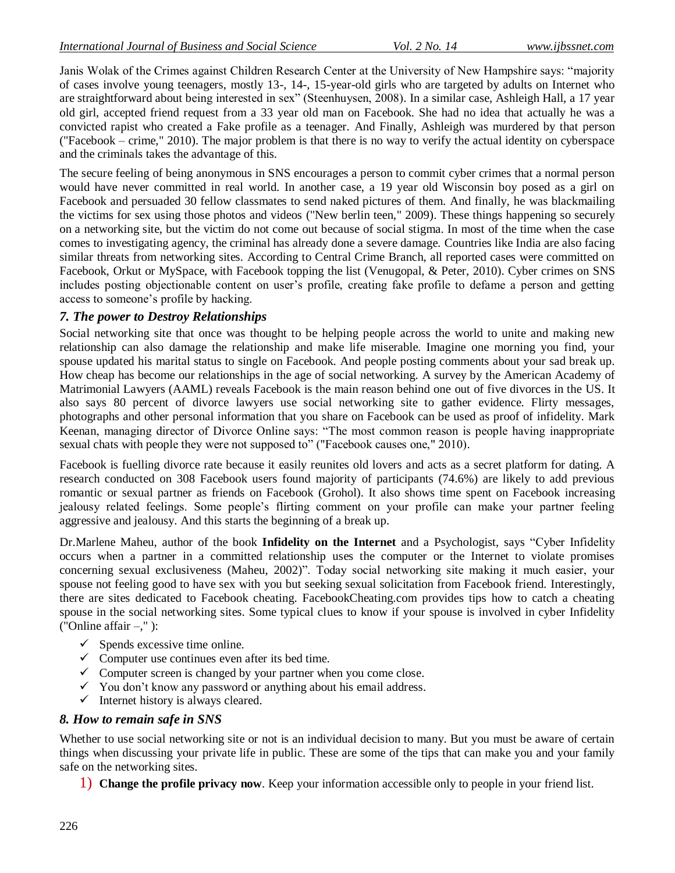Janis Wolak of the Crimes against Children Research Center at the University of New Hampshire says: "majority of cases involve young teenagers, mostly 13-, 14-, 15-year-old girls who are targeted by adults on Internet who are straightforward about being interested in sex" (Steenhuysen, 2008). In a similar case, Ashleigh Hall, a 17 year old girl, accepted friend request from a 33 year old man on Facebook. She had no idea that actually he was a convicted rapist who created a Fake profile as a teenager. And Finally, Ashleigh was murdered by that person ("Facebook – crime," 2010). The major problem is that there is no way to verify the actual identity on cyberspace and the criminals takes the advantage of this.

The secure feeling of being anonymous in SNS encourages a person to commit cyber crimes that a normal person would have never committed in real world. In another case, a 19 year old Wisconsin boy posed as a girl on Facebook and persuaded 30 fellow classmates to send naked pictures of them. And finally, he was blackmailing the victims for sex using those photos and videos ("New berlin teen," 2009). These things happening so securely on a networking site, but the victim do not come out because of social stigma. In most of the time when the case comes to investigating agency, the criminal has already done a severe damage. Countries like India are also facing similar threats from networking sites. According to Central Crime Branch, all reported cases were committed on Facebook, Orkut or MySpace, with Facebook topping the list (Venugopal, & Peter, 2010). Cyber crimes on SNS includes posting objectionable content on user's profile, creating fake profile to defame a person and getting access to someone"s profile by hacking.

### *7. The power to Destroy Relationships*

Social networking site that once was thought to be helping people across the world to unite and making new relationship can also damage the relationship and make life miserable. Imagine one morning you find, your spouse updated his marital status to single on Facebook. And people posting comments about your sad break up. How cheap has become our relationships in the age of social networking. A survey by the American Academy of Matrimonial Lawyers (AAML) reveals Facebook is the main reason behind one out of five divorces in the US. It also says 80 percent of divorce lawyers use social networking site to gather evidence. Flirty messages, photographs and other personal information that you share on Facebook can be used as proof of infidelity. Mark Keenan, managing director of Divorce Online says: "The most common reason is people having inappropriate sexual chats with people they were not supposed to" ("Facebook causes one," 2010).

Facebook is fuelling divorce rate because it easily reunites old lovers and acts as a secret platform for dating. A research conducted on 308 Facebook users found majority of participants (74.6%) are likely to add previous romantic or sexual partner as friends on Facebook (Grohol). It also shows time spent on Facebook increasing jealousy related feelings. Some people"s flirting comment on your profile can make your partner feeling aggressive and jealousy. And this starts the beginning of a break up.

Dr.Marlene Maheu, author of the book **Infidelity on the Internet** and a Psychologist, says "Cyber Infidelity occurs when a partner in a committed relationship uses the computer or the Internet to violate promises concerning sexual exclusiveness (Maheu, 2002)". Today social networking site making it much easier, your spouse not feeling good to have sex with you but seeking sexual solicitation from Facebook friend. Interestingly, there are sites dedicated to Facebook cheating. FacebookCheating.com provides tips how to catch a cheating spouse in the social networking sites. Some typical clues to know if your spouse is involved in cyber Infidelity ("Online affair –," ):

- $\checkmark$  Spends excessive time online.
- $\checkmark$  Computer use continues even after its bed time.
- $\checkmark$  Computer screen is changed by your partner when you come close.
- $\checkmark$  You don't know any password or anything about his email address.
- $\checkmark$  Internet history is always cleared.

#### *8. How to remain safe in SNS*

Whether to use social networking site or not is an individual decision to many. But you must be aware of certain things when discussing your private life in public. These are some of the tips that can make you and your family safe on the networking sites.

1) **Change the profile privacy now**. Keep your information accessible only to people in your friend list.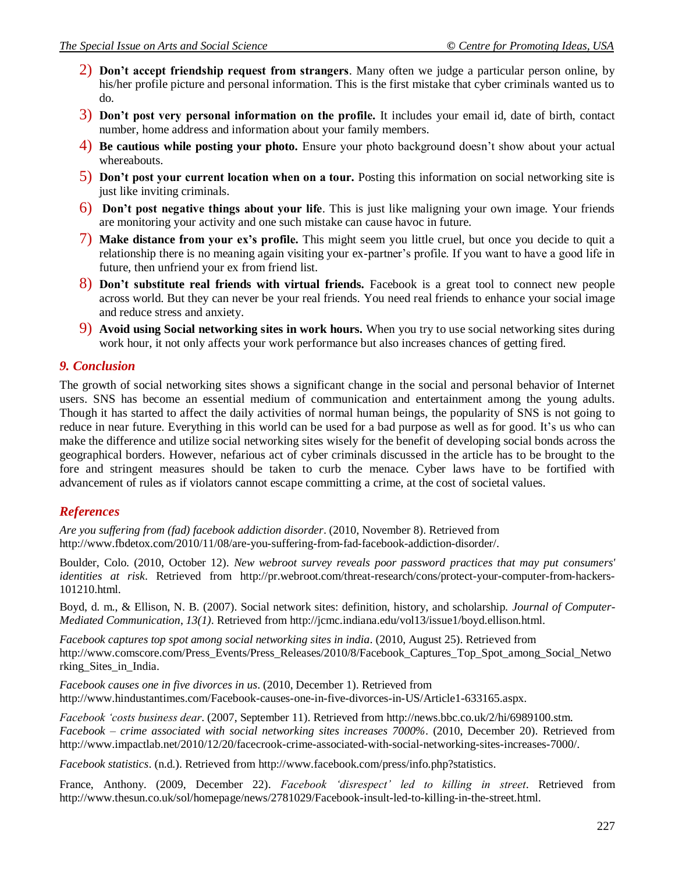- 2) **Don't accept friendship request from strangers**. Many often we judge a particular person online, by his/her profile picture and personal information. This is the first mistake that cyber criminals wanted us to do.
- 3) **Don't post very personal information on the profile.** It includes your email id, date of birth, contact number, home address and information about your family members.
- 4) **Be cautious while posting your photo.** Ensure your photo background doesn"t show about your actual whereabouts.
- 5) **Don't post your current location when on a tour.** Posting this information on social networking site is just like inviting criminals.
- 6) **Don't post negative things about your life**. This is just like maligning your own image. Your friends are monitoring your activity and one such mistake can cause havoc in future.
- 7) **Make distance from your ex's profile.** This might seem you little cruel, but once you decide to quit a relationship there is no meaning again visiting your ex-partner"s profile. If you want to have a good life in future, then unfriend your ex from friend list.
- 8) **Don't substitute real friends with virtual friends.** Facebook is a great tool to connect new people across world. But they can never be your real friends. You need real friends to enhance your social image and reduce stress and anxiety.
- 9) **Avoid using Social networking sites in work hours.** When you try to use social networking sites during work hour, it not only affects your work performance but also increases chances of getting fired.

## *9. Conclusion*

The growth of social networking sites shows a significant change in the social and personal behavior of Internet users. SNS has become an essential medium of communication and entertainment among the young adults. Though it has started to affect the daily activities of normal human beings, the popularity of SNS is not going to reduce in near future. Everything in this world can be used for a bad purpose as well as for good. It's us who can make the difference and utilize social networking sites wisely for the benefit of developing social bonds across the geographical borders. However, nefarious act of cyber criminals discussed in the article has to be brought to the fore and stringent measures should be taken to curb the menace. Cyber laws have to be fortified with advancement of rules as if violators cannot escape committing a crime, at the cost of societal values.

## *References*

*Are you suffering from (fad) facebook addiction disorder*. (2010, November 8). Retrieved from [http://www.fbdetox.com/2010/11/08/are-you-suffering-from-fad-facebook-addiction-disorder/.](http://www.fbdetox.com/2010/11/08/are-you-suffering-from-fad-facebook-addiction-disorder/)

Boulder, Colo. (2010, October 12). *New webroot survey reveals poor password practices that may put consumers' identities at risk*. Retrieved from [http://pr.webroot.com/threat-research/cons/protect-your-computer-from-hackers-](http://pr.webroot.com/threat-research/cons/protect-your-computer-from-hackers-101210.html)[101210.html.](http://pr.webroot.com/threat-research/cons/protect-your-computer-from-hackers-101210.html)

Boyd, d. m., & Ellison, N. B. (2007). Social network sites: definition, history, and scholarship. *Journal of Computer-Mediated Communication*, *13(1)*. Retrieved from [http://jcmc.indiana.edu/vol13/issue1/boyd.ellison.html.](http://jcmc.indiana.edu/vol13/issue1/boyd.ellison.html)

*Facebook captures top spot among social networking sites in india*. (2010, August 25). Retrieved from [http://www.comscore.com/Press\\_Events/Press\\_Releases/2010/8/Facebook\\_Captures\\_Top\\_Spot\\_among\\_Social\\_Netwo](http://www.comscore.com/Press_Events/Press_Releases/2010/8/Facebook_Captures_Top_Spot_among_Social_Networking_Sites_in_India) [rking\\_Sites\\_in\\_India.](http://www.comscore.com/Press_Events/Press_Releases/2010/8/Facebook_Captures_Top_Spot_among_Social_Networking_Sites_in_India)

*Facebook causes one in five divorces in us*. (2010, December 1). Retrieved from [http://www.hindustantimes.com/Facebook-causes-one-in-five-divorces-in-US/Article1-633165.aspx.](http://www.hindustantimes.com/Facebook-causes-one-in-five-divorces-in-US/Article1-633165.aspx)

*Facebook 'costs business dear*. (2007, September 11). Retrieved from [http://news.bbc.co.uk/2/hi/6989100.stm.](http://news.bbc.co.uk/2/hi/6989100.stm) *Facebook – crime associated with social networking sites increases 7000%*. (2010, December 20). Retrieved from [http://www.impactlab.net/2010/12/20/facecrook-crime-associated-with-social-networking-sites-increases-7000/.](http://www.impactlab.net/2010/12/20/facecrook-crime-associated-with-social-networking-sites-increases-7000/)

*Facebook statistics*. (n.d.). Retrieved from [http://www.facebook.com/press/info.php?statistics.](http://www.facebook.com/press/info.php?statistics)

France, Anthony. (2009, December 22). *Facebook 'disrespect' led to killing in street*. Retrieved from [http://www.thesun.co.uk/sol/homepage/news/2781029/Facebook-insult-led-to-killing-in-the-street.html.](http://www.thesun.co.uk/sol/homepage/news/2781029/Facebook-insult-led-to-killing-in-the-street.html)